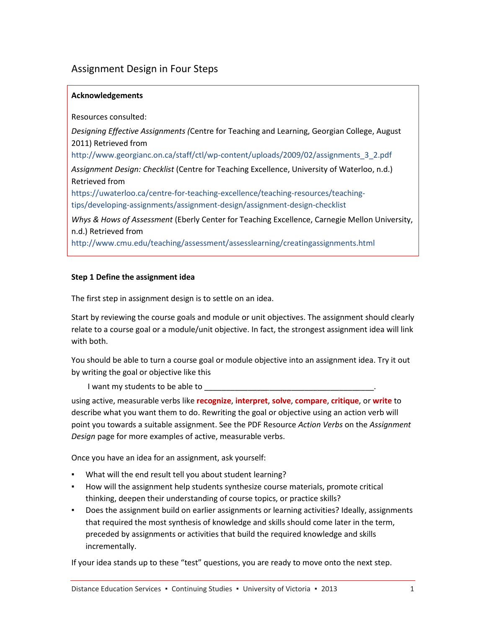# Assignment Design in Four Steps

### **Acknowledgements**

Resources consulted:

*Designing Effective Assignments (*Centre for Teaching and Learning, Georgian College, August 2011) Retrieved from

[http://www.georgianc.on.ca/staff/ctl/wp-content/uploads/2009/02/assignments\\_3\\_2.pdf](http://www.georgiancollege.ca/staff/ctl/wp-content/uploads/Assignments_3_2.pdf)

*Assignment Design: Checklist* (Centre for Teaching Excellence, University of Waterloo, n.d.) Retrieved from

[https://uwaterloo.ca/centre-for-teaching-excellence/teaching-resources/teaching](https://uwaterloo.ca/centre-for-teaching-excellence/teaching-resources/teaching-tips/developing-assignments/assignment-design/assignment-design-checklist)[tips/developing-assignments/assignment-design/assignment-design-checklist](https://uwaterloo.ca/centre-for-teaching-excellence/teaching-resources/teaching-tips/developing-assignments/assignment-design/assignment-design-checklist)

*Whys & Hows of Assessment* (Eberly Center for Teaching Excellence, Carnegie Mellon University, n.d.) Retrieved from

<http://www.cmu.edu/teaching/assessment/assesslearning/creatingassignments.html>

### **Step 1 Define the assignment idea**

The first step in assignment design is to settle on an idea.

Start by reviewing the course goals and module or unit objectives. The assignment should clearly relate to a course goal or a module/unit objective. In fact, the strongest assignment idea will link with both.

You should be able to turn a course goal or module objective into an assignment idea. Try it out by writing the goal or objective like this

I want my students to be able to \_\_\_\_\_

using active, measurable verbs like **recognize**, **interpret**, **solve**, **compare**, **critique**, or **write** to describe what you want them to do. Rewriting the goal or objective using an action verb will point you towards a suitable assignment. See the PDF Resource *Action Verbs* on the *Assignment Design* page for more examples of active, measurable verbs.

Once you have an idea for an assignment, ask yourself:

- What will the end result tell you about student learning?
- How will the assignment help students synthesize course materials, promote critical thinking, deepen their understanding of course topics, or practice skills?
- Does the assignment build on earlier assignments or learning activities? Ideally, assignments that required the most synthesis of knowledge and skills should come later in the term, preceded by assignments or activities that build the required knowledge and skills incrementally.

If your idea stands up to these "test" questions, you are ready to move onto the next step.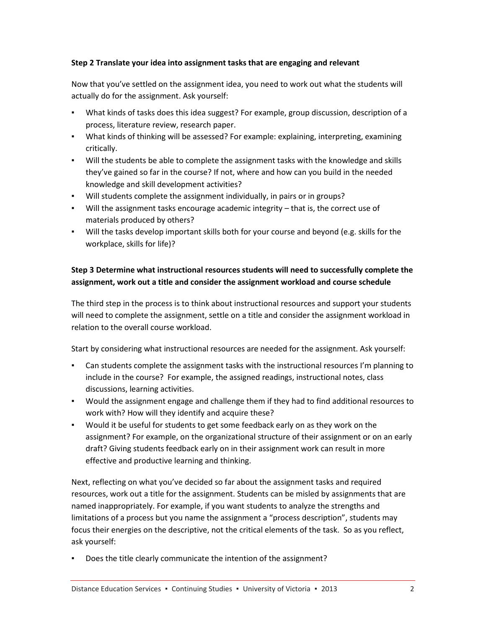## **Step 2 Translate your idea into assignment tasks that are engaging and relevant**

Now that you've settled on the assignment idea, you need to work out what the students will actually do for the assignment. Ask yourself:

- What kinds of tasks does this idea suggest? For example, group discussion, description of a process, literature review, research paper.
- What kinds of thinking will be assessed? For example: explaining, interpreting, examining critically.
- Will the students be able to complete the assignment tasks with the knowledge and skills they've gained so far in the course? If not, where and how can you build in the needed knowledge and skill development activities?
- Will students complete the assignment individually, in pairs or in groups?
- Will the assignment tasks encourage academic integrity that is, the correct use of materials produced by others?
- Will the tasks develop important skills both for your course and beyond (e.g. skills for the workplace, skills for life)?

# **Step 3 Determine what instructional resources students will need to successfully complete the assignment, work out a title and consider the assignment workload and course schedule**

The third step in the process is to think about instructional resources and support your students will need to complete the assignment, settle on a title and consider the assignment workload in relation to the overall course workload.

Start by considering what instructional resources are needed for the assignment. Ask yourself:

- **•** Can students complete the assignment tasks with the instructional resources I'm planning to include in the course? For example, the assigned readings, instructional notes, class discussions, learning activities.
- Would the assignment engage and challenge them if they had to find additional resources to work with? How will they identify and acquire these?
- Would it be useful for students to get some feedback early on as they work on the assignment? For example, on the organizational structure of their assignment or on an early draft? Giving students feedback early on in their assignment work can result in more effective and productive learning and thinking.

Next, reflecting on what you've decided so far about the assignment tasks and required resources, work out a title for the assignment. Students can be misled by assignments that are named inappropriately. For example, if you want students to analyze the strengths and limitations of a process but you name the assignment a "process description", students may focus their energies on the descriptive, not the critical elements of the task. So as you reflect, ask yourself:

Does the title clearly communicate the intention of the assignment?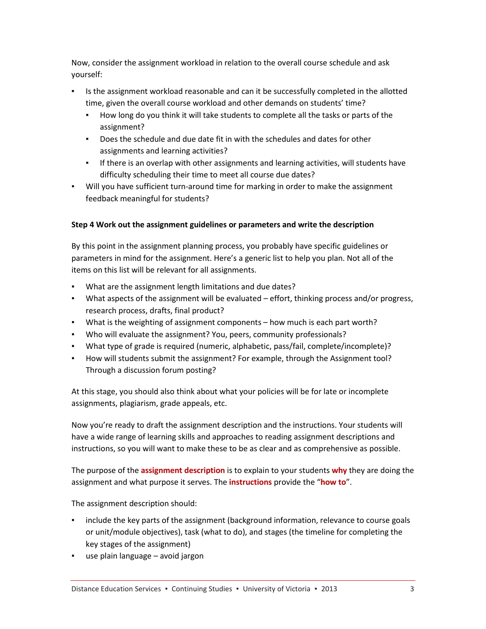Now, consider the assignment workload in relation to the overall course schedule and ask yourself:

- Is the assignment workload reasonable and can it be successfully completed in the allotted time, given the overall course workload and other demands on students' time?
	- How long do you think it will take students to complete all the tasks or parts of the assignment?
	- Does the schedule and due date fit in with the schedules and dates for other assignments and learning activities?
	- **•** If there is an overlap with other assignments and learning activities, will students have difficulty scheduling their time to meet all course due dates?
- Will you have sufficient turn-around time for marking in order to make the assignment feedback meaningful for students?

# **Step 4 Work out the assignment guidelines or parameters and write the description**

By this point in the assignment planning process, you probably have specific guidelines or parameters in mind for the assignment. Here's a generic list to help you plan. Not all of the items on this list will be relevant for all assignments.

- What are the assignment length limitations and due dates?
- What aspects of the assignment will be evaluated effort, thinking process and/or progress, research process, drafts, final product?
- What is the weighting of assignment components how much is each part worth?
- Who will evaluate the assignment? You, peers, community professionals?
- What type of grade is required (numeric, alphabetic, pass/fail, complete/incomplete)?
- How will students submit the assignment? For example, through the Assignment tool? Through a discussion forum posting?

At this stage, you should also think about what your policies will be for late or incomplete assignments, plagiarism, grade appeals, etc.

Now you're ready to draft the assignment description and the instructions. Your students will have a wide range of learning skills and approaches to reading assignment descriptions and instructions, so you will want to make these to be as clear and as comprehensive as possible.

The purpose of the **assignment description** is to explain to your students **why** they are doing the assignment and what purpose it serves. The **instructions** provide the "**how to**".

The assignment description should:

- include the key parts of the assignment (background information, relevance to course goals or unit/module objectives), task (what to do), and stages (the timeline for completing the key stages of the assignment)
- use plain language avoid jargon